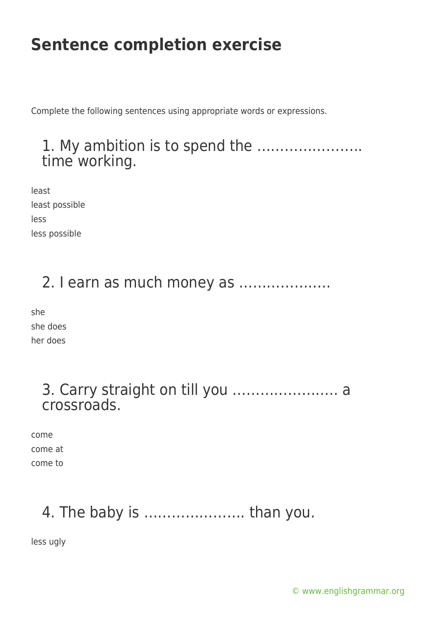Complete the following sentences using appropriate words or expressions.

#### 1. My ambition is to spend the ………………….. time working.

least least possible less less possible

#### 2. I earn as much money as ………………..

she she does her does

#### 3. Carry straight on till you ………………….. a crossroads.

come come at come to

# 4. The baby is …………………. than you.

less ugly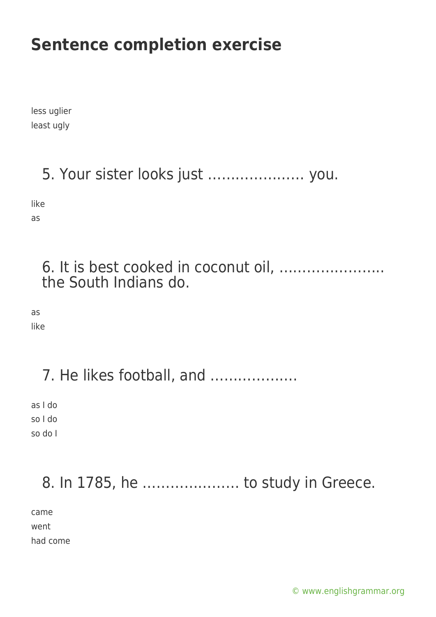less uglier least ugly

# 5. Your sister looks just ………………… you.

like

as

#### 6. It is best cooked in coconut oil, ………………….. the South Indians do.

as

like

## 7. He likes football, and ……………….

as I do so I do so do I

### 8. In 1785, he ………………… to study in Greece.

came went

had come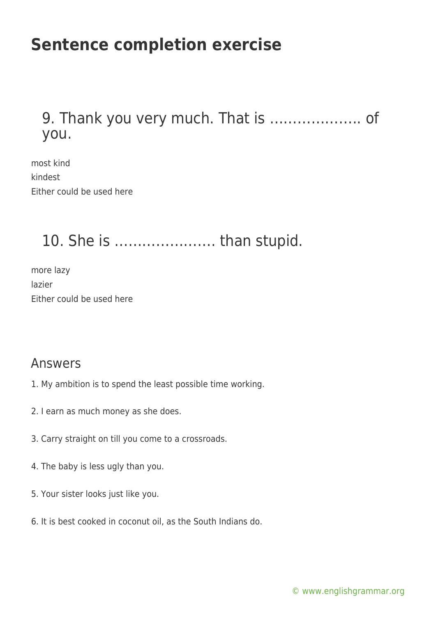#### 9. Thank you very much. That is ……………….. of you.

most kind kindest Either could be used here

#### 10. She is …………………. than stupid.

more lazy lazier Either could be used here

#### Answers

- 1. My ambition is to spend the least possible time working.
- 2. I earn as much money as she does.
- 3. Carry straight on till you come to a crossroads.
- 4. The baby is less ugly than you.
- 5. Your sister looks just like you.
- 6. It is best cooked in coconut oil, as the South Indians do.